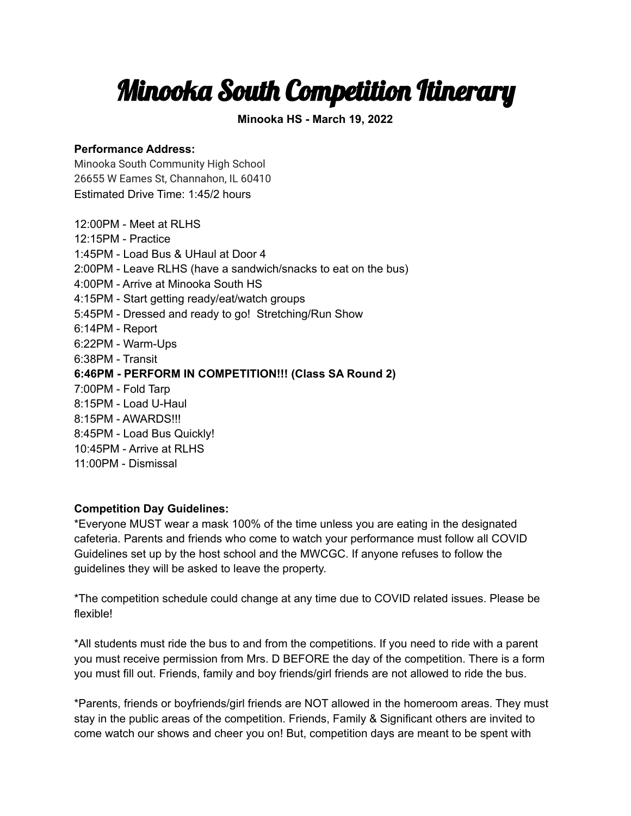## Minooka South Competition Itinerary

**Minooka HS - March 19, 2022**

## **Performance Address:**

Minooka South Community High School 26655 W Eames St, Channahon, IL 60410 Estimated Drive Time: 1:45/2 hours

12:00PM - Meet at RLHS 12:15PM - Practice 1:45PM - Load Bus & UHaul at Door 4 2:00PM - Leave RLHS (have a sandwich/snacks to eat on the bus) 4:00PM - Arrive at Minooka South HS 4:15PM - Start getting ready/eat/watch groups 5:45PM - Dressed and ready to go! Stretching/Run Show 6:14PM - Report 6:22PM - Warm-Ups 6:38PM - Transit **6:46PM - PERFORM IN COMPETITION!!! (Class SA Round 2)** 7:00PM - Fold Tarp 8:15PM - Load U-Haul 8:15PM - AWARDS!!! 8:45PM - Load Bus Quickly! 10:45PM - Arrive at RLHS 11:00PM - Dismissal

## **Competition Day Guidelines:**

\*Everyone MUST wear a mask 100% of the time unless you are eating in the designated cafeteria. Parents and friends who come to watch your performance must follow all COVID Guidelines set up by the host school and the MWCGC. If anyone refuses to follow the guidelines they will be asked to leave the property.

\*The competition schedule could change at any time due to COVID related issues. Please be flexible!

\*All students must ride the bus to and from the competitions. If you need to ride with a parent you must receive permission from Mrs. D BEFORE the day of the competition. There is a form you must fill out. Friends, family and boy friends/girl friends are not allowed to ride the bus.

\*Parents, friends or boyfriends/girl friends are NOT allowed in the homeroom areas. They must stay in the public areas of the competition. Friends, Family & Significant others are invited to come watch our shows and cheer you on! But, competition days are meant to be spent with